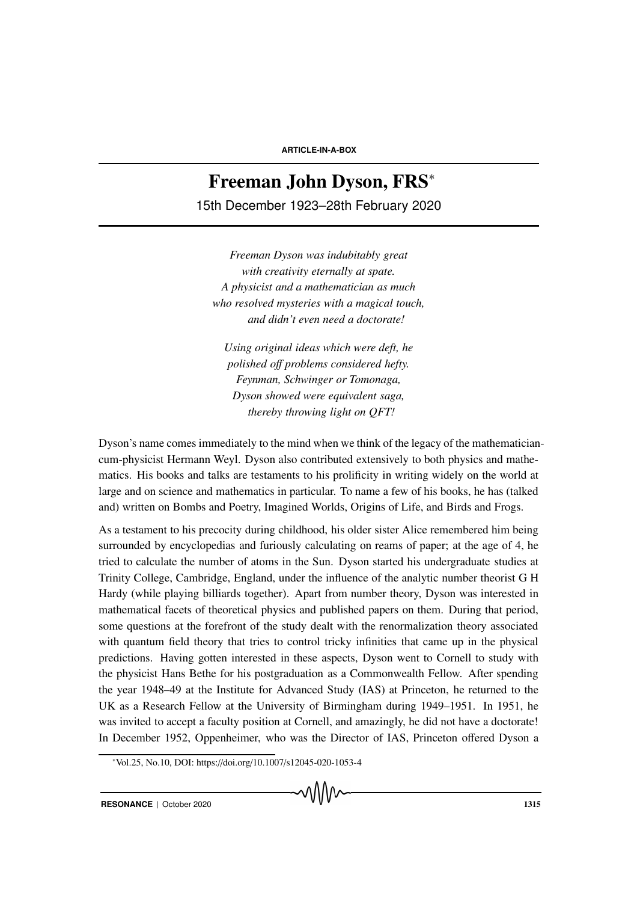## Freeman John Dyson, FRS<sup>∗</sup>

15th December 1923–28th February 2020

*Freeman Dyson was indubitably great with creativity eternally at spate. A physicist and a mathematician as much who resolved mysteries with a magical touch, and didn't even need a doctorate!*

*Using original ideas which were deft, he polished o*ff *problems considered hefty. Feynman, Schwinger or Tomonaga, Dyson showed were equivalent saga, thereby throwing light on QFT!*

Dyson's name comes immediately to the mind when we think of the legacy of the mathematiciancum-physicist Hermann Weyl. Dyson also contributed extensively to both physics and mathematics. His books and talks are testaments to his prolificity in writing widely on the world at large and on science and mathematics in particular. To name a few of his books, he has (talked and) written on Bombs and Poetry, Imagined Worlds, Origins of Life, and Birds and Frogs.

As a testament to his precocity during childhood, his older sister Alice remembered him being surrounded by encyclopedias and furiously calculating on reams of paper; at the age of 4, he tried to calculate the number of atoms in the Sun. Dyson started his undergraduate studies at Trinity College, Cambridge, England, under the influence of the analytic number theorist G H Hardy (while playing billiards together). Apart from number theory, Dyson was interested in mathematical facets of theoretical physics and published papers on them. During that period, some questions at the forefront of the study dealt with the renormalization theory associated with quantum field theory that tries to control tricky infinities that came up in the physical predictions. Having gotten interested in these aspects, Dyson went to Cornell to study with the physicist Hans Bethe for his postgraduation as a Commonwealth Fellow. After spending the year 1948–49 at the Institute for Advanced Study (IAS) at Princeton, he returned to the UK as a Research Fellow at the University of Birmingham during 1949–1951. In 1951, he was invited to accept a faculty position at Cornell, and amazingly, he did not have a doctorate! In December 1952, Oppenheimer, who was the Director of IAS, Princeton offered Dyson a

<sup>∗</sup>Vol.25, No.10, DOI: https://doi.org/10.1007/s12045-020-1053-4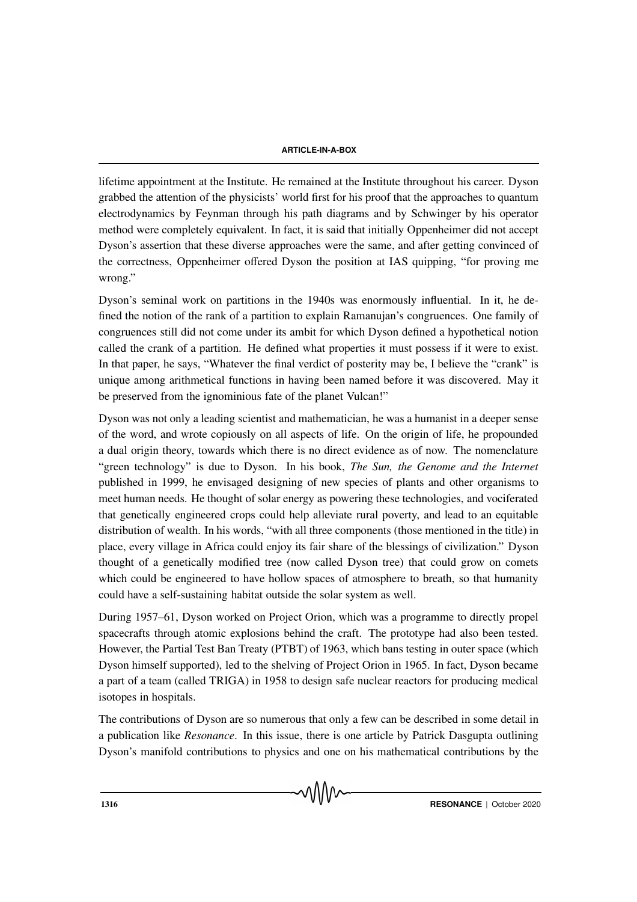## **ARTICLE-IN-A-BOX**

lifetime appointment at the Institute. He remained at the Institute throughout his career. Dyson grabbed the attention of the physicists' world first for his proof that the approaches to quantum electrodynamics by Feynman through his path diagrams and by Schwinger by his operator method were completely equivalent. In fact, it is said that initially Oppenheimer did not accept Dyson's assertion that these diverse approaches were the same, and after getting convinced of the correctness, Oppenheimer offered Dyson the position at IAS quipping, "for proving me wrong."

Dyson's seminal work on partitions in the 1940s was enormously influential. In it, he defined the notion of the rank of a partition to explain Ramanujan's congruences. One family of congruences still did not come under its ambit for which Dyson defined a hypothetical notion called the crank of a partition. He defined what properties it must possess if it were to exist. In that paper, he says, "Whatever the final verdict of posterity may be, I believe the "crank" is unique among arithmetical functions in having been named before it was discovered. May it be preserved from the ignominious fate of the planet Vulcan!"

Dyson was not only a leading scientist and mathematician, he was a humanist in a deeper sense of the word, and wrote copiously on all aspects of life. On the origin of life, he propounded a dual origin theory, towards which there is no direct evidence as of now. The nomenclature "green technology" is due to Dyson. In his book, *The Sun, the Genome and the Internet* published in 1999, he envisaged designing of new species of plants and other organisms to meet human needs. He thought of solar energy as powering these technologies, and vociferated that genetically engineered crops could help alleviate rural poverty, and lead to an equitable distribution of wealth. In his words, "with all three components (those mentioned in the title) in place, every village in Africa could enjoy its fair share of the blessings of civilization." Dyson thought of a genetically modified tree (now called Dyson tree) that could grow on comets which could be engineered to have hollow spaces of atmosphere to breath, so that humanity could have a self-sustaining habitat outside the solar system as well.

During 1957–61, Dyson worked on Project Orion, which was a programme to directly propel spacecrafts through atomic explosions behind the craft. The prototype had also been tested. However, the Partial Test Ban Treaty (PTBT) of 1963, which bans testing in outer space (which Dyson himself supported), led to the shelving of Project Orion in 1965. In fact, Dyson became a part of a team (called TRIGA) in 1958 to design safe nuclear reactors for producing medical isotopes in hospitals.

The contributions of Dyson are so numerous that only a few can be described in some detail in a publication like *Resonance*. In this issue, there is one article by Patrick Dasgupta outlining Dyson's manifold contributions to physics and one on his mathematical contributions by the